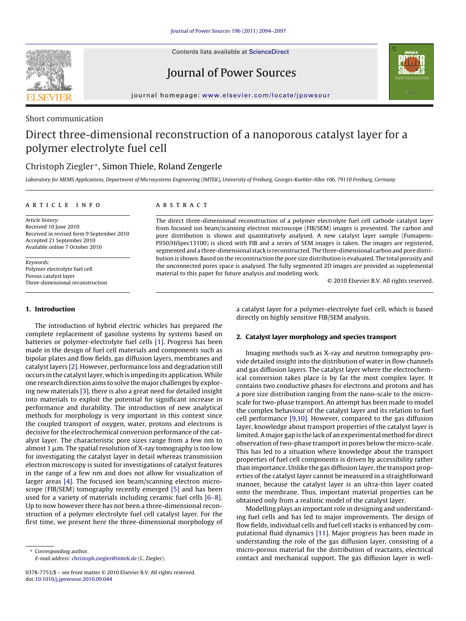

Contents lists available at [ScienceDirect](http://www.sciencedirect.com/science/journal/03787753)

## Journal of Power Sources



journal homepage: [www.elsevier.com/locate/jpowsour](http://www.elsevier.com/locate/jpowsour)

### Short communication

# Direct three-dimensional reconstruction of a nanoporous catalyst layer for a polymer electrolyte fuel cell

## Christoph Ziegler <sup>∗</sup>, Simon Thiele, Roland Zengerle

Laboratory for MEMS Applications, Department of Microsystems Engineering (IMTEK)**,** University of Freiburg, Georges-Koehler-Allee 106, 79110 Freiburg, Germany

#### article info

Article history: Received 10 June 2010 Received in revised form 9 September 2010 Accepted 21 September 2010 Available online 7 October 2010

Keywords: Polymer electrolyte fuel cell Porous catalyst layer Three-dimensional reconstruction

#### **1. Introduction**

The introduction of hybrid electric vehicles has prepared the complete replacement of gasoline systems by systems based on batteries or polymer-electrolyte fuel cells [\[1\]. P](#page-3-0)rogress has been made in the design of fuel cell materials and components such as bipolar plates and flow fields, gas diffusion layers, membranes and catalyst layers [\[2\]. H](#page-3-0)owever, performance loss and degradation still occurs in the catalyst layer, which is impeding its application.While one research direction aims to solve themajor challenges by exploring new materials [\[3\], t](#page-3-0)here is also a great need for detailed insight into materials to exploit the potential for significant increase in performance and durability. The introduction of new analytical methods for morphology is very important in this context since the coupled transport of oxygen, water, protons and electrons is decisive for the electrochemical conversion performance of the catalyst layer. The characteristic pore sizes range from a few nm to almost 1  $\upmu$ m. The spatial resolution of X-ray tomography is too low for investigating the catalyst layer in detail whereas transmission electron microscopy is suited for investigations of catalyst features in the range of a few nm and does not allow for visualization of larger areas [\[4\].](#page-3-0) The focused ion beam/scanning electron microscope (FIB/SEM) tomography recently emerged [\[5\]](#page-3-0) and has been used for a variety of materials including ceramic fuel cells [\[6–8\].](#page-3-0) Up to now however there has not been a three-dimensional reconstruction of a polymer electrolyte fuel cell catalyst layer. For the first time, we present here the three-dimensional morphology of

## **ABSTRACT**

The direct three-dimensional reconstruction of a polymer electrolyte fuel cell cathode catalyst layer from focused ion beam/scanning electron microscope (FIB/SEM) images is presented. The carbon and pore distribution is shown and quantitatively analysed. A new catalyst layer sample (Fumapem-F950/HiSpec13100) is sliced with FIB and a series of SEM images is taken. The images are registered, segmented and a three-dimensional stack is reconstructed. The three-dimensional carbon and pore distribution is shown. Based on the reconstruction the pore size distribution is evaluated. The total porosity and the unconnected pores space is analysed. The fully segmented 2D images are provided as supplemental material to this paper for future analysis and modeling work.

© 2010 Elsevier B.V. All rights reserved.

a catalyst layer for a polymer-electrolyte fuel cell, which is based directly on highly sensitive FIB/SEM analysis.

#### **2. Catalyst layer morphology and species transport**

Imaging methods such as X-ray and neutron tomography provide detailed insight into the distribution of water in flow channels and gas diffusion layers. The catalyst layer where the electrochemical conversion takes place is by far the most complex layer. It contains two conductive phases for electrons and protons and has a pore size distribution ranging from the nano-scale to the microscale for two-phase transport. An attempt has been made to model the complex behaviour of the catalyst layer and its relation to fuel cell performance [\[9,10\]. H](#page-3-0)owever, compared to the gas diffusion layer, knowledge about transport properties of the catalyst layer is limited. A major gap is the lack of an experimental method for direct observation of two-phase transport in pores below the micro-scale. This has led to a situation where knowledge about the transport properties of fuel cell components is driven by accessibility rather than importance. Unlike the gas diffusion layer, the transport properties of the catalyst layer cannot be measured in a straightforward manner, because the catalyst layer is an ultra-thin layer coated onto the membrane. Thus, important material properties can be obtained only from a realistic model of the catalyst layer.

Modelling plays an important role in designing and understanding fuel cells and has led to major improvements. The design of flow fields, individual cells and fuel cell stacks is enhanced by computational fluid dynamics [\[11\]. M](#page-3-0)ajor progress has been made in understanding the role of the gas diffusion layer, consisting of a micro-porous material for the distribution of reactants, electrical contact and mechanical support. The gas diffusion layer is well-

<sup>∗</sup> Corresponding author. E-mail address: [christoph.ziegler@imtek.de](mailto:christoph.ziegler@imtek.de) (C. Ziegler).

<sup>0378-7753/\$ –</sup> see front matter © 2010 Elsevier B.V. All rights reserved. doi:[10.1016/j.jpowsour.2010.09.044](dx.doi.org/10.1016/j.jpowsour.2010.09.044)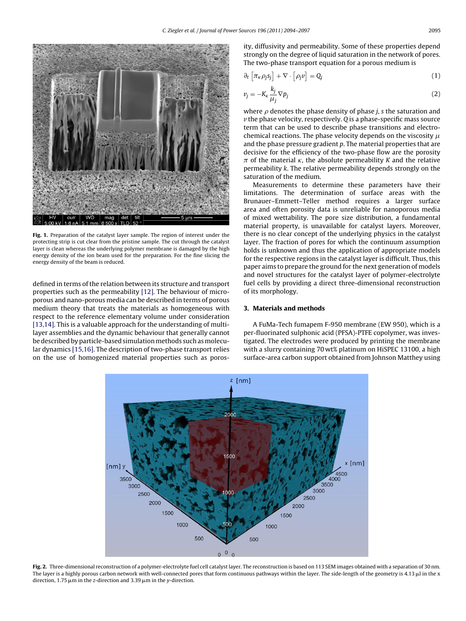<span id="page-1-0"></span>

**Fig. 1.** Preparation of the catalyst layer sample. The region of interest under the protecting strip is cut clear from the pristine sample. The cut through the catalyst layer is clean whereas the underlying polymer membrane is damaged by the high energy density of the ion beam used for the preparation. For the fine slicing the energy density of the beam is reduced.

defined in terms of the relation between its structure and transport properties such as the permeability [\[12\]. T](#page-3-0)he behaviour of microporous and nano-porous media can be described in terms of porous medium theory that treats the materials as homogeneous with respect to the reference elementary volume under consideration [\[13,14\]. T](#page-3-0)his is a valuable approach for the understanding of multilayer assemblies and the dynamic behaviour that generally cannot be described by particle-based simulation methods such as molecular dynamics [\[15,16\]. T](#page-3-0)he description of two-phase transport relies on the use of homogenized material properties such as porosity, diffusivity and permeability. Some of these properties depend strongly on the degree of liquid saturation in the network of pores. The two-phase transport equation for a porous medium is

$$
\partial_t \left[ \pi_{\kappa} \rho_j s_j \right] + \nabla \cdot \left[ \rho_j v \right] = Q_j \tag{1}
$$

$$
v_j = -K_{\kappa} \frac{k_j}{\mu_j} \nabla p_j \tag{2}
$$

where  $\rho$  denotes the phase density of phase *j*, *s* the saturation and  $\nu$  the phase velocity, respectively.  $Q$  is a phase-specific mass source term that can be used to describe phase transitions and electrochemical reactions. The phase velocity depends on the viscosity  $\mu$ and the phase pressure gradient p. The material properties that are decisive for the efficiency of the two-phase flow are the porosity  $\pi$  of the material  $\kappa$ , the absolute permeability K and the relative permeability k. The relative permeability depends strongly on the saturation of the medium.

Measurements to determine these parameters have their limitations. The determination of surface areas with the Brunauer–Emmett–Teller method requires a larger surface area and often porosity data is unreliable for nanoporous media of mixed wettability. The pore size distribution, a fundamental material property, is unavailable for catalyst layers. Moreover, there is no clear concept of the underlying physics in the catalyst layer. The fraction of pores for which the continuum assumption holds is unknown and thus the application of appropriate models for the respective regions in the catalyst layer is difficult. Thus, this paper aims to prepare the ground for the next generation of models and novel structures for the catalyst layer of polymer-electrolyte fuel cells by providing a direct three-dimensional reconstruction of its morphology.

#### **3. Materials and methods**

A FuMa-Tech fumapem F-950 membrane (EW 950), which is a per-fluorinated sulphonic acid (PFSA)-PTFE copolymer, was investigated. The electrodes were produced by printing the membrane with a slurry containing 70 wt% platinum on HiSPEC 13100, a high surface-area carbon support obtained from Johnson Matthey using



**Fig. 2.** Three-dimensional reconstruction of a polymer-electrolyte fuel cell catalyst layer. The reconstruction is based on 113 SEM images obtained with a separation of 30 nm. The layer is a highly porous carbon network with well-connected pores that form continuous pathways within the layer. The side-length of the geometry is 4.13  $\mu$ l in the x direction, 1.75  $\mu$ m in the z-direction and 3.39  $\mu$ m in the y-direction.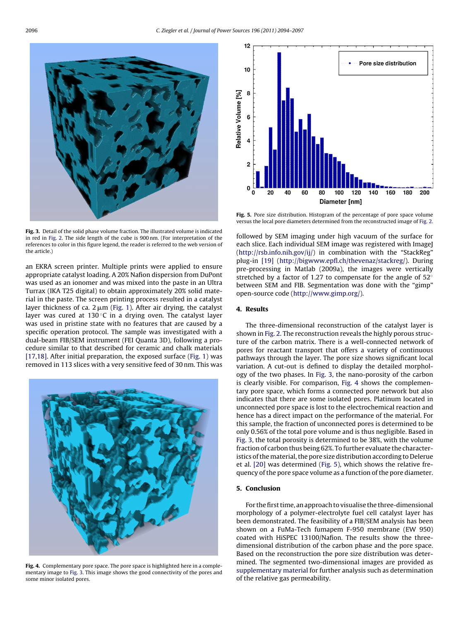

**Fig. 3.** Detail of the solid phase volume fraction. The illustrated volume is indicated in red in [Fig. 2.](#page-1-0) The side length of the cube is 900 nm. (For interpretation of the references to color in this figure legend, the reader is referred to the web version of the article.)

an EKRA screen printer. Multiple prints were applied to ensure appropriate catalyst loading. A 20% Nafion dispersion from DuPont was used as an ionomer and was mixed into the paste in an Ultra Turrax (IKA T25 digital) to obtain approximately 20% solid material in the paste. The screen printing process resulted in a catalyst layer thickness of ca. 2  $\rm \mu m$  [\(Fig. 1\).](#page-1-0) After air drying, the catalyst layer was cured at 130 $\degree$ C in a drying oven. The catalyst layer was used in pristine state with no features that are caused by a specific operation protocol. The sample was investigated with a dual-beam FIB/SEM instrument (FEI Quanta 3D), following a procedure similar to that described for ceramic and chalk materials [\[17,18\]. A](#page-3-0)fter initial preparation, the exposed surface ([Fig. 1\)](#page-1-0) was removed in 113 slices with a very sensitive feed of 30 nm. This was



**Fig. 4.** Complementary pore space. The pore space is highlighted here in a complementary image to Fig. 3. This image shows the good connectivity of the pores and some minor isolated pores.



**Fig. 5.** Pore size distribution. Histogram of the percentage of pore space volume versus the local pore diameters determined from the reconstructed image of [Fig. 2.](#page-1-0)

followed by SEM imaging under high vacuum of the surface for each slice. Each individual SEM image was registered with ImageJ [\(http://rsb.info.nih.gov/ij/\)](http://rsb.info.nih.gov/ij/) in combination with the "StackReg" plug-in [\[19\]](#page-3-0) [\(http://bigwww.epfl.ch/thevenaz/stackreg/](http://bigwww.epfl.ch/thevenaz/stackreg/)). During pre-processing in Matlab (2009a), the images were vertically stretched by a factor of 1.27 to compensate for the angle of 52◦ between SEM and FIB. Segmentation was done with the "gimp" open-source code (<http://www.gimp.org/>).

#### **4. Results**

The three-dimensional reconstruction of the catalyst layer is shown in [Fig. 2. T](#page-1-0)he reconstruction reveals the highly porous structure of the carbon matrix. There is a well-connected network of pores for reactant transport that offers a variety of continuous pathways through the layer. The pore size shows significant local variation. A cut-out is defined to display the detailed morphology of the two phases. In Fig. 3, the nano-porosity of the carbon is clearly visible. For comparison, Fig. 4 shows the complementary pore space, which forms a connected pore network but also indicates that there are some isolated pores. Platinum located in unconnected pore space is lost to the electrochemical reaction and hence has a direct impact on the performance of the material. For this sample, the fraction of unconnected pores is determined to be only 0.56% of the total pore volume and is thus negligible. Based in Fig. 3, the total porosity is determined to be 38%, with the volume fraction of carbon thus being 62%. To further evaluate the characteristics of the material, the pore size distribution according to Delerue et al. [\[20\]](#page-3-0) was determined (Fig. 5), which shows the relative frequency of the pore space volume as a function of the pore diameter.

### **5. Conclusion**

For the first time, an approach to visualise the three-dimensional morphology of a polymer-electrolyte fuel cell catalyst layer has been demonstrated. The feasibility of a FIB/SEM analysis has been shown on a FuMa-Tech fumapem F-950 membrane (EW 950) coated with HiSPEC 13100/Nafion. The results show the threedimensional distribution of the carbon phase and the pore space. Based on the reconstruction the pore size distribution was determined. The segmented two-dimensional images are provided as [supplementary material](#page-3-0) for further analysis such as determination of the relative gas permeability.